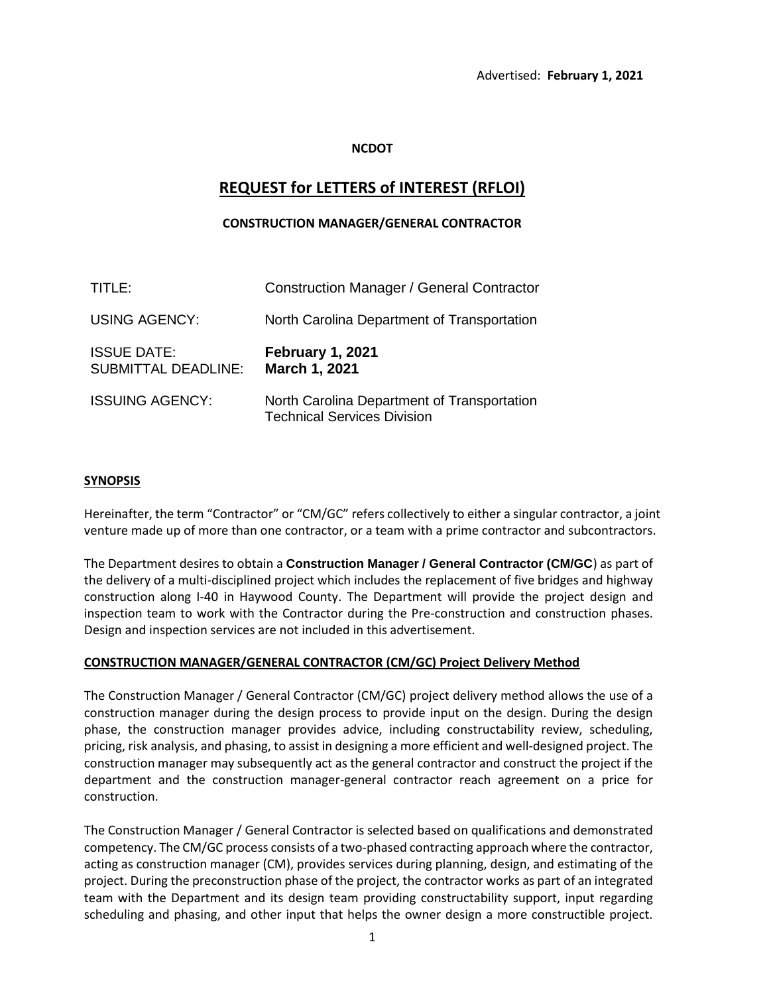## **NCDOT**

# **REQUEST for LETTERS of INTEREST (RFLOI)**

# **CONSTRUCTION MANAGER/GENERAL CONTRACTOR**

| TITLE:                                           | <b>Construction Manager / General Contractor</b>                                  |
|--------------------------------------------------|-----------------------------------------------------------------------------------|
| <b>USING AGENCY:</b>                             | North Carolina Department of Transportation                                       |
| <b>ISSUE DATE:</b><br><b>SUBMITTAL DEADLINE:</b> | February 1, 2021<br>March 1, 2021                                                 |
| <b>ISSUING AGENCY:</b>                           | North Carolina Department of Transportation<br><b>Technical Services Division</b> |

## **SYNOPSIS**

Hereinafter, the term "Contractor" or "CM/GC" refers collectively to either a singular contractor, a joint venture made up of more than one contractor, or a team with a prime contractor and subcontractors.

The Department desires to obtain a **Construction Manager / General Contractor (CM/GC**) as part of the delivery of a multi-disciplined project which includes the replacement of five bridges and highway construction along I-40 in Haywood County. The Department will provide the project design and inspection team to work with the Contractor during the Pre-construction and construction phases. Design and inspection services are not included in this advertisement.

## **CONSTRUCTION MANAGER/GENERAL CONTRACTOR (CM/GC) Project Delivery Method**

The Construction Manager / General Contractor (CM/GC) project delivery method allows the use of a construction manager during the design process to provide input on the design. During the design phase, the construction manager provides advice, including constructability review, scheduling, pricing, risk analysis, and phasing, to assist in designing a more efficient and well-designed project. The construction manager may subsequently act as the general contractor and construct the project if the department and the construction manager-general contractor reach agreement on a price for construction.

The Construction Manager / General Contractor is selected based on qualifications and demonstrated competency. The CM/GC process consists of a two-phased contracting approach where the contractor, acting as construction manager (CM), provides services during planning, design, and estimating of the project. During the preconstruction phase of the project, the contractor works as part of an integrated team with the Department and its design team providing constructability support, input regarding scheduling and phasing, and other input that helps the owner design a more constructible project.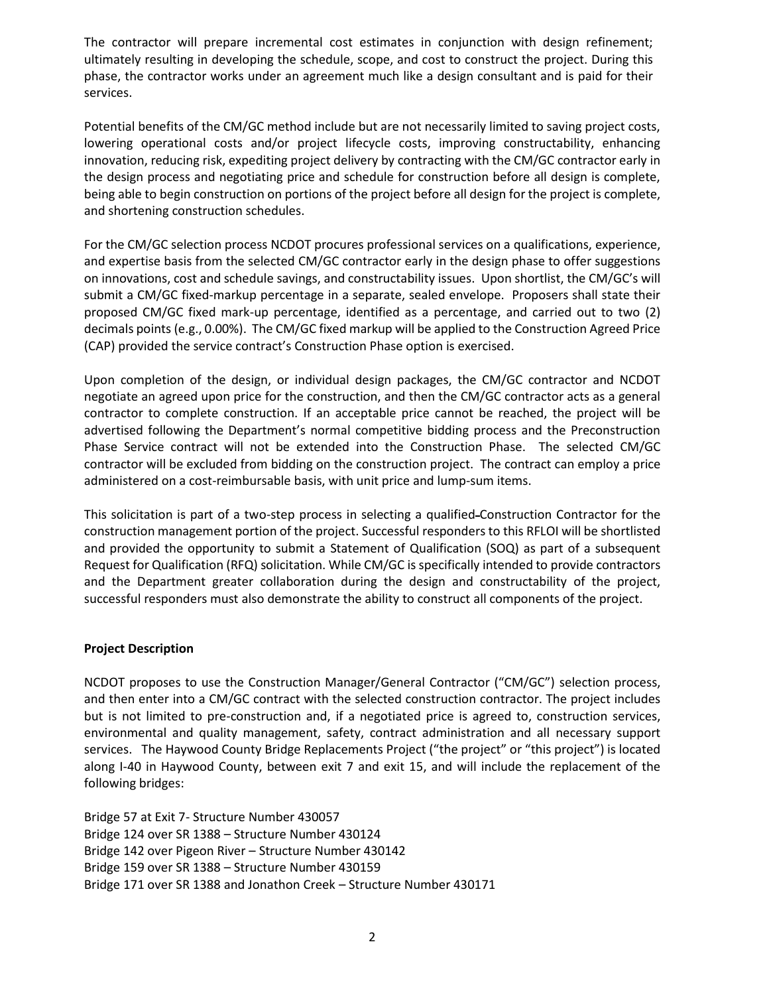The contractor will prepare incremental cost estimates in conjunction with design refinement; ultimately resulting in developing the schedule, scope, and cost to construct the project. During this phase, the contractor works under an agreement much like a design consultant and is paid for their services.

Potential benefits of the CM/GC method include but are not necessarily limited to saving project costs, lowering operational costs and/or project lifecycle costs, improving constructability, enhancing innovation, reducing risk, expediting project delivery by contracting with the CM/GC contractor early in the design process and negotiating price and schedule for construction before all design is complete, being able to begin construction on portions of the project before all design for the project is complete, and shortening construction schedules.

For the CM/GC selection process NCDOT procures professional services on a qualifications, experience, and expertise basis from the selected CM/GC contractor early in the design phase to offer suggestions on innovations, cost and schedule savings, and constructability issues. Upon shortlist, the CM/GC's will submit a CM/GC fixed-markup percentage in a separate, sealed envelope. Proposers shall state their proposed CM/GC fixed mark-up percentage, identified as a percentage, and carried out to two (2) decimals points (e.g., 0.00%). The CM/GC fixed markup will be applied to the Construction Agreed Price (CAP) provided the service contract's Construction Phase option is exercised.

Upon completion of the design, or individual design packages, the CM/GC contractor and NCDOT negotiate an agreed upon price for the construction, and then the CM/GC contractor acts as a general contractor to complete construction. If an acceptable price cannot be reached, the project will be advertised following the Department's normal competitive bidding process and the Preconstruction Phase Service contract will not be extended into the Construction Phase. The selected CM/GC contractor will be excluded from bidding on the construction project. The contract can employ a price administered on a cost-reimbursable basis, with unit price and lump-sum items.

This solicitation is part of a two-step process in selecting a qualified Construction Contractor for the construction management portion of the project. Successful responders to this RFLOI will be shortlisted and provided the opportunity to submit a Statement of Qualification (SOQ) as part of a subsequent Request for Qualification (RFQ) solicitation. While CM/GC is specifically intended to provide contractors and the Department greater collaboration during the design and constructability of the project, successful responders must also demonstrate the ability to construct all components of the project.

#### **Project Description**

NCDOT proposes to use the Construction Manager/General Contractor ("CM/GC") selection process, and then enter into a CM/GC contract with the selected construction contractor. The project includes but is not limited to pre-construction and, if a negotiated price is agreed to, construction services, environmental and quality management, safety, contract administration and all necessary support services. The Haywood County Bridge Replacements Project ("the project" or "this project") is located along I-40 in Haywood County, between exit 7 and exit 15, and will include the replacement of the following bridges:

Bridge 57 at Exit 7- Structure Number 430057 Bridge 124 over SR 1388 – Structure Number 430124 Bridge 142 over Pigeon River – Structure Number 430142 Bridge 159 over SR 1388 – Structure Number 430159 Bridge 171 over SR 1388 and Jonathon Creek – Structure Number 430171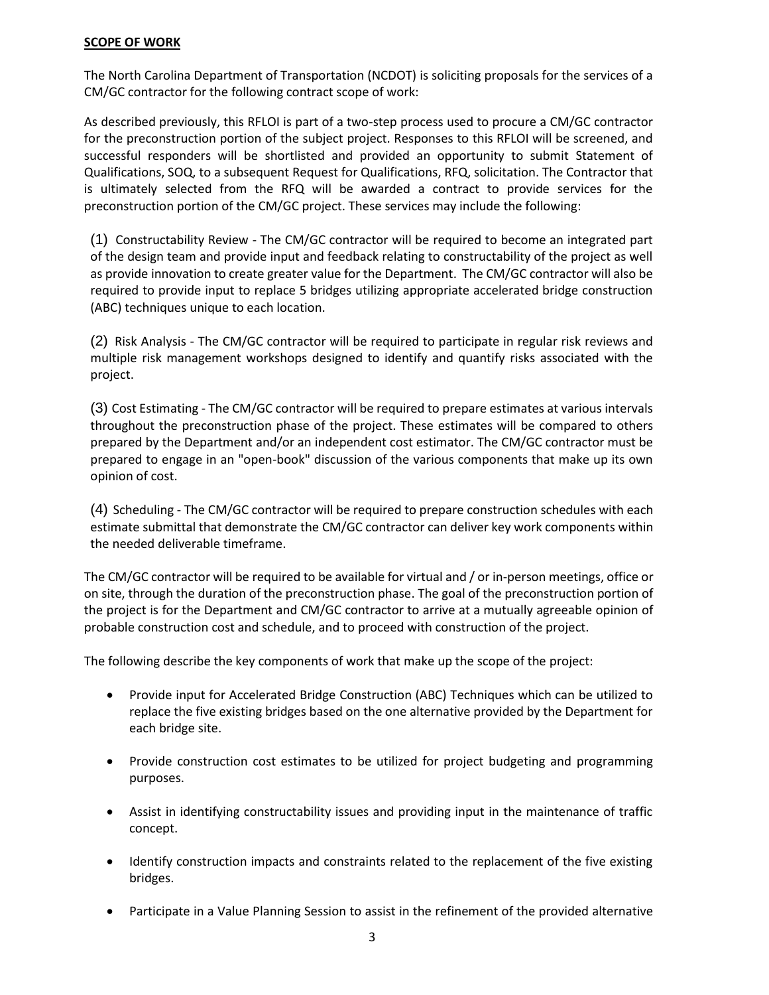#### **SCOPE OF WORK**

The North Carolina Department of Transportation (NCDOT) is soliciting proposals for the services of a CM/GC contractor for the following contract scope of work:

As described previously, this RFLOI is part of a two-step process used to procure a CM/GC contractor for the preconstruction portion of the subject project. Responses to this RFLOI will be screened, and successful responders will be shortlisted and provided an opportunity to submit Statement of Qualifications, SOQ, to a subsequent Request for Qualifications, RFQ, solicitation. The Contractor that is ultimately selected from the RFQ will be awarded a contract to provide services for the preconstruction portion of the CM/GC project. These services may include the following:

(1) Constructability Review - The CM/GC contractor will be required to become an integrated part of the design team and provide input and feedback relating to constructability of the project as well as provide innovation to create greater value for the Department. The CM/GC contractor will also be required to provide input to replace 5 bridges utilizing appropriate accelerated bridge construction (ABC) techniques unique to each location.

(2) Risk Analysis - The CM/GC contractor will be required to participate in regular risk reviews and multiple risk management workshops designed to identify and quantify risks associated with the project.

(3) Cost Estimating - The CM/GC contractor will be required to prepare estimates at various intervals throughout the preconstruction phase of the project. These estimates will be compared to others prepared by the Department and/or an independent cost estimator. The CM/GC contractor must be prepared to engage in an "open-book" discussion of the various components that make up its own opinion of cost.

(4) Scheduling - The CM/GC contractor will be required to prepare construction schedules with each estimate submittal that demonstrate the CM/GC contractor can deliver key work components within the needed deliverable timeframe.

The CM/GC contractor will be required to be available for virtual and / or in-person meetings, office or on site, through the duration of the preconstruction phase. The goal of the preconstruction portion of the project is for the Department and CM/GC contractor to arrive at a mutually agreeable opinion of probable construction cost and schedule, and to proceed with construction of the project.

The following describe the key components of work that make up the scope of the project:

- Provide input for Accelerated Bridge Construction (ABC) Techniques which can be utilized to replace the five existing bridges based on the one alternative provided by the Department for each bridge site.
- Provide construction cost estimates to be utilized for project budgeting and programming purposes.
- Assist in identifying constructability issues and providing input in the maintenance of traffic concept.
- Identify construction impacts and constraints related to the replacement of the five existing bridges.
- Participate in a Value Planning Session to assist in the refinement of the provided alternative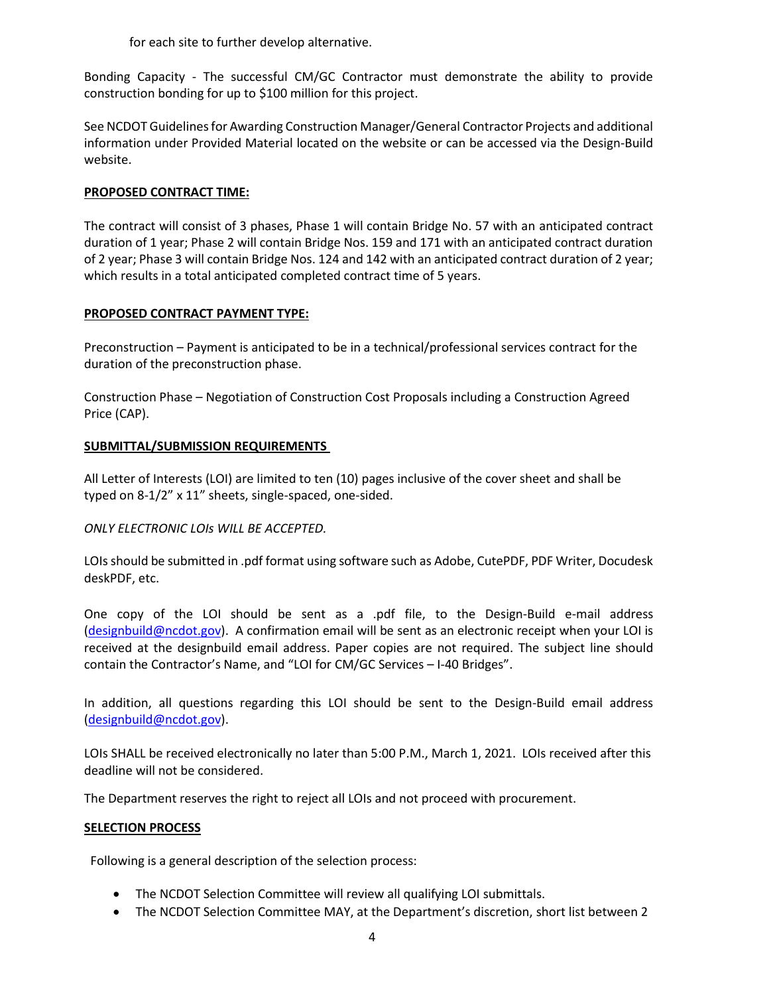for each site to further develop alternative.

Bonding Capacity - The successful CM/GC Contractor must demonstrate the ability to provide construction bonding for up to \$100 million for this project.

See NCDOT Guidelines for Awarding Construction Manager/General Contractor Projects and additional information under Provided Material located on the website or can be accessed via the Design-Build website.

# **PROPOSED CONTRACT TIME:**

The contract will consist of 3 phases, Phase 1 will contain Bridge No. 57 with an anticipated contract duration of 1 year; Phase 2 will contain Bridge Nos. 159 and 171 with an anticipated contract duration of 2 year; Phase 3 will contain Bridge Nos. 124 and 142 with an anticipated contract duration of 2 year; which results in a total anticipated completed contract time of 5 years.

# **PROPOSED CONTRACT PAYMENT TYPE:**

Preconstruction – Payment is anticipated to be in a technical/professional services contract for the duration of the preconstruction phase.

Construction Phase – Negotiation of Construction Cost Proposals including a Construction Agreed Price (CAP).

# **SUBMITTAL/SUBMISSION REQUIREMENTS**

All Letter of Interests (LOI) are limited to ten (10) pages inclusive of the cover sheet and shall be typed on 8-1/2" x 11" sheets, single-spaced, one-sided.

## *ONLY ELECTRONIC LOIs WILL BE ACCEPTED.*

LOIs should be submitted in .pdf format using software such as Adobe, CutePDF, PDF Writer, Docudesk deskPDF, etc.

One copy of the LOI should be sent as a .pdf file, to the Design-Build e-mail address [\(designbuild@ncdot.gov\)](mailto:designbuild@ncdot.gov). A confirmation email will be sent as an electronic receipt when your LOI is received at the designbuild email address. Paper copies are not required. The subject line should contain the Contractor's Name, and "LOI for CM/GC Services – I-40 Bridges".

In addition, all questions regarding this LOI should be sent to the Design-Build email address [\(designbuild@ncdot.gov\)](mailto:designbuild@ncdot.gov).

LOIs SHALL be received electronically no later than 5:00 P.M., March 1, 2021. LOIs received after this deadline will not be considered.

The Department reserves the right to reject all LOIs and not proceed with procurement.

## **SELECTION PROCESS**

Following is a general description of the selection process:

- The NCDOT Selection Committee will review all qualifying LOI submittals.
- The NCDOT Selection Committee MAY, at the Department's discretion, short list between 2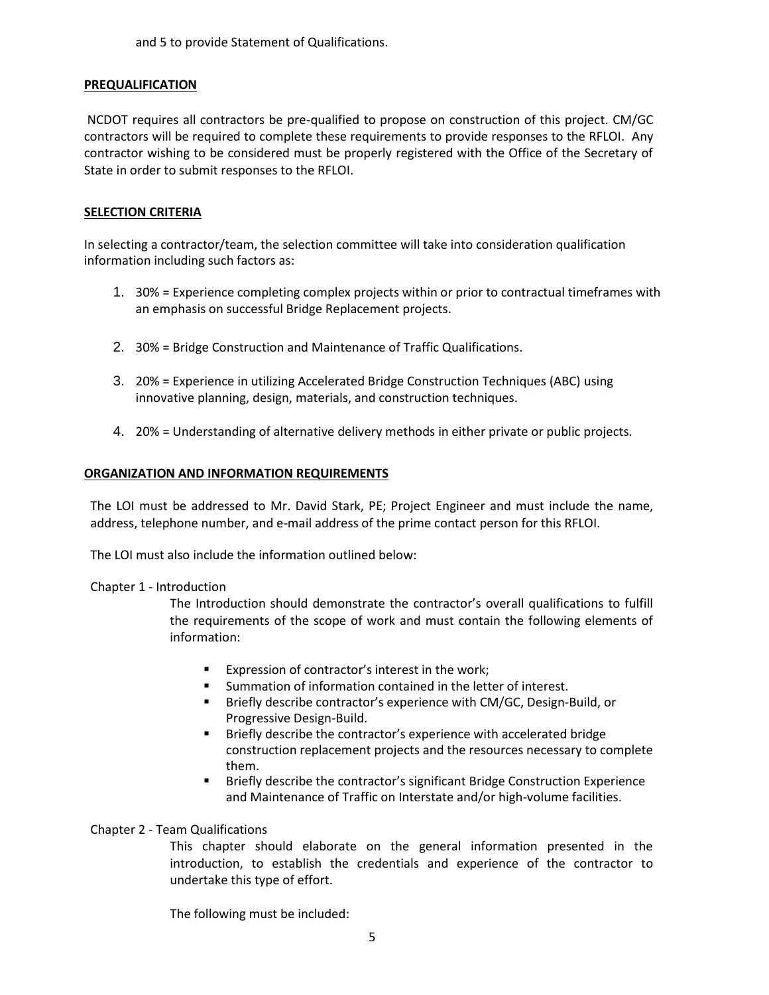and 5 to provide Statement of Qualifications.

## **PREQUALIFICATION**

NCDOT requires all contractors be pre-qualified to propose on construction of this project. CM/GC contractors will be required to complete these requirements to provide responses to the RFLOI. Any contractor wishing to be considered must be properly registered with the Office of the Secretary of State in order to submit responses to the RFLOI.

## **SELECTION CRITERIA**

In selecting a contractor/team, the selection committee will take into consideration qualification information including such factors as:

- 1. 30% = Experience completing complex projects within or prior to contractual timeframes with an emphasis on successful Bridge Replacement projects.
- 2. 30% = Bridge Construction and Maintenance of Traffic Qualifications.
- 3. 20% = Experience in utilizing Accelerated Bridge Construction Techniques (ABC) using innovative planning, design, materials, and construction techniques.
- 4. 20% = Understanding of alternative delivery methods in either private or public projects.

## **ORGANIZATION AND INFORMATION REQUIREMENTS**

The LOI must be addressed to Mr. David Stark, PE; Project Engineer and must include the name, address, telephone number, and e-mail address of the prime contact person for this RFLOI.

The LOI must also include the information outlined below:

#### Chapter 1 - Introduction

The Introduction should demonstrate the contractor's overall qualifications to fulfill the requirements of the scope of work and must contain the following elements of information:

- Expression of contractor's interest in the work;
- Summation of information contained in the letter of interest.
- Briefly describe contractor's experience with CM/GC, Design-Build, or Progressive Design-Build.
- Briefly describe the contractor's experience with accelerated bridge construction replacement projects and the resources necessary to complete them.
- Briefly describe the contractor's significant Bridge Construction Experience and Maintenance of Traffic on Interstate and/or high-volume facilities.

## Chapter 2 - Team Qualifications

This chapter should elaborate on the general information presented in the introduction, to establish the credentials and experience of the contractor to undertake this type of effort.

The following must be included: